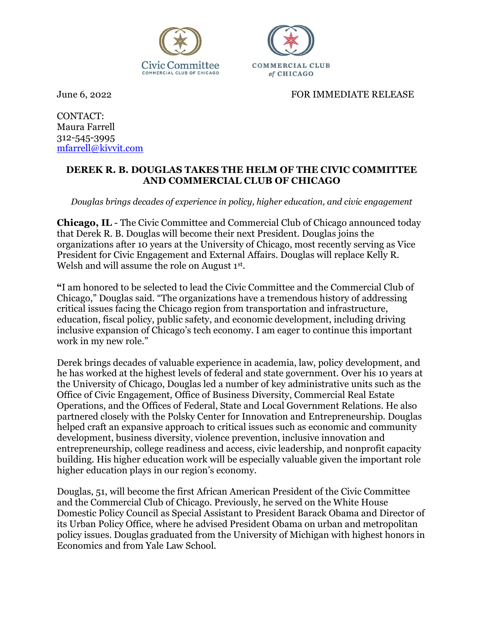



June 6, 2022 FOR IMMEDIATE RELEASE

CONTACT: Maura Farrell 312-545-3995 mfarrell@kivvit.com

## DEREK R. B. DOUGLAS TAKES THE HELM OF THE CIVIC COMMITTEE AND COMMERCIAL CLUB OF CHICAGO

Douglas brings decades of experience in policy, higher education, and civic engagement

Chicago, IL - The Civic Committee and Commercial Club of Chicago announced today that Derek R. B. Douglas will become their next President. Douglas joins the organizations after 10 years at the University of Chicago, most recently serving as Vice President for Civic Engagement and External Affairs. Douglas will replace Kelly R. Welsh and will assume the role on August 1<sup>st</sup>.

"I am honored to be selected to lead the Civic Committee and the Commercial Club of Chicago," Douglas said. "The organizations have a tremendous history of addressing critical issues facing the Chicago region from transportation and infrastructure, education, fiscal policy, public safety, and economic development, including driving inclusive expansion of Chicago's tech economy. I am eager to continue this important work in my new role."

Derek brings decades of valuable experience in academia, law, policy development, and he has worked at the highest levels of federal and state government. Over his 10 years at the University of Chicago, Douglas led a number of key administrative units such as the Office of Civic Engagement, Office of Business Diversity, Commercial Real Estate Operations, and the Offices of Federal, State and Local Government Relations. He also partnered closely with the Polsky Center for Innovation and Entrepreneurship. Douglas helped craft an expansive approach to critical issues such as economic and community development, business diversity, violence prevention, inclusive innovation and entrepreneurship, college readiness and access, civic leadership, and nonprofit capacity building. His higher education work will be especially valuable given the important role higher education plays in our region's economy.

Douglas, 51, will become the first African American President of the Civic Committee and the Commercial Club of Chicago. Previously, he served on the White House Domestic Policy Council as Special Assistant to President Barack Obama and Director of its Urban Policy Office, where he advised President Obama on urban and metropolitan policy issues. Douglas graduated from the University of Michigan with highest honors in Economics and from Yale Law School.